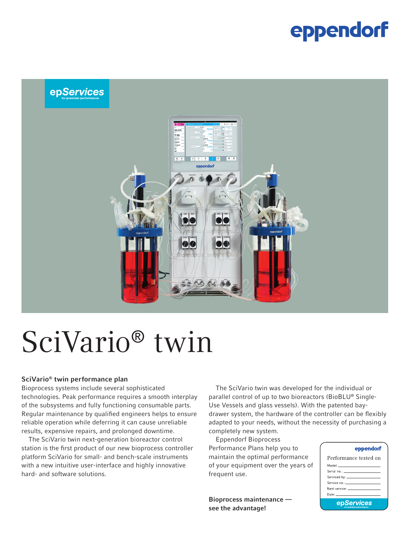### eppendorf



# SciVario® twin

#### SciVario® twin performance plan

Bioprocess systems include several sophisticated technologies. Peak performance requires a smooth interplay of the subsystems and fully functioning consumable parts. Regular maintenance by qualified engineers helps to ensure reliable operation while deferring it can cause unreliable results, expensive repairs, and prolonged downtime.

The SciVario twin next-generation bioreactor control station is the first product of our new bioprocess controller platform SciVario for small- and bench-scale instruments with a new intuitive user-interface and highly innovative hard- and software solutions.

The SciVario twin was developed for the individual or parallel control of up to two bioreactors (BioBLU® Single-Use Vessels and glass vessels). With the patented baydrawer system, the hardware of the controller can be flexibly adapted to your needs, without the necessity of purchasing a completely new system.

Eppendorf Bioprocess Performance Plans help you to maintain the optimal performance of your equipment over the years of frequent use.

Bioprocess maintenance see the advantage!

#### eppendorf

| Performance tested on                                                                                                                                                                                                         |  |  |
|-------------------------------------------------------------------------------------------------------------------------------------------------------------------------------------------------------------------------------|--|--|
| Model: _________________________                                                                                                                                                                                              |  |  |
|                                                                                                                                                                                                                               |  |  |
|                                                                                                                                                                                                                               |  |  |
|                                                                                                                                                                                                                               |  |  |
| Next service: The contract of the contract of the contract of the contract of the contract of the contract of the contract of the contract of the contract of the contract of the contract of the contract of the contract of |  |  |
| Date: University of the University of the University of the University of the University of the University of                                                                                                                 |  |  |
| epServices                                                                                                                                                                                                                    |  |  |